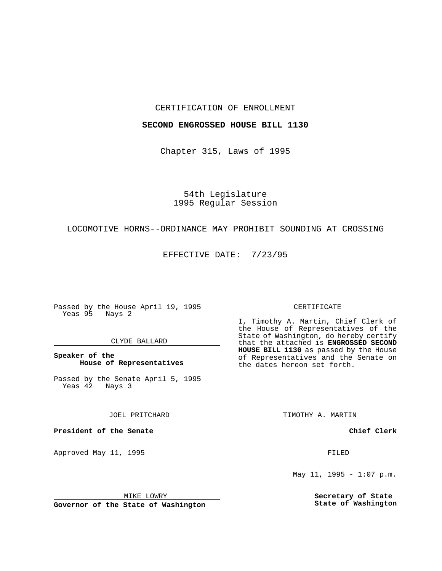### CERTIFICATION OF ENROLLMENT

## **SECOND ENGROSSED HOUSE BILL 1130**

Chapter 315, Laws of 1995

# 54th Legislature 1995 Regular Session

### LOCOMOTIVE HORNS--ORDINANCE MAY PROHIBIT SOUNDING AT CROSSING

EFFECTIVE DATE: 7/23/95

Passed by the House April 19, 1995 Yeas 95 Nays 2

### CLYDE BALLARD

### **Speaker of the House of Representatives**

Passed by the Senate April 5, 1995<br>Yeas 42 Nays 3 Yeas 42

JOEL PRITCHARD

**President of the Senate**

Approved May 11, 1995 FILED

MIKE LOWRY

**Governor of the State of Washington**

#### CERTIFICATE

I, Timothy A. Martin, Chief Clerk of the House of Representatives of the State of Washington, do hereby certify that the attached is **ENGROSSED SECOND HOUSE BILL 1130** as passed by the House of Representatives and the Senate on the dates hereon set forth.

TIMOTHY A. MARTIN

**Chief Clerk**

May 11, 1995 -  $1:07$  p.m.

**Secretary of State State of Washington**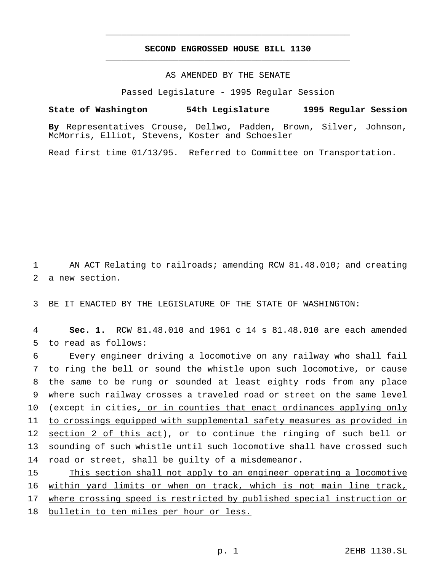# **SECOND ENGROSSED HOUSE BILL 1130** \_\_\_\_\_\_\_\_\_\_\_\_\_\_\_\_\_\_\_\_\_\_\_\_\_\_\_\_\_\_\_\_\_\_\_\_\_\_\_\_\_\_\_\_\_\_\_

\_\_\_\_\_\_\_\_\_\_\_\_\_\_\_\_\_\_\_\_\_\_\_\_\_\_\_\_\_\_\_\_\_\_\_\_\_\_\_\_\_\_\_\_\_\_\_

# AS AMENDED BY THE SENATE

Passed Legislature - 1995 Regular Session

**State of Washington 54th Legislature 1995 Regular Session By** Representatives Crouse, Dellwo, Padden, Brown, Silver, Johnson, McMorris, Elliot, Stevens, Koster and Schoesler

Read first time 01/13/95. Referred to Committee on Transportation.

1 AN ACT Relating to railroads; amending RCW 81.48.010; and creating 2 a new section.

3 BE IT ENACTED BY THE LEGISLATURE OF THE STATE OF WASHINGTON:

4 **Sec. 1.** RCW 81.48.010 and 1961 c 14 s 81.48.010 are each amended 5 to read as follows:

 Every engineer driving a locomotive on any railway who shall fail to ring the bell or sound the whistle upon such locomotive, or cause the same to be rung or sounded at least eighty rods from any place where such railway crosses a traveled road or street on the same level 10 (except in cities, or in counties that enact ordinances applying only to crossings equipped with supplemental safety measures as provided in 12 section 2 of this act), or to continue the ringing of such bell or sounding of such whistle until such locomotive shall have crossed such road or street, shall be guilty of a misdemeanor.

 This section shall not apply to an engineer operating a locomotive within yard limits or when on track, which is not main line track, 17 where crossing speed is restricted by published special instruction or bulletin to ten miles per hour or less.